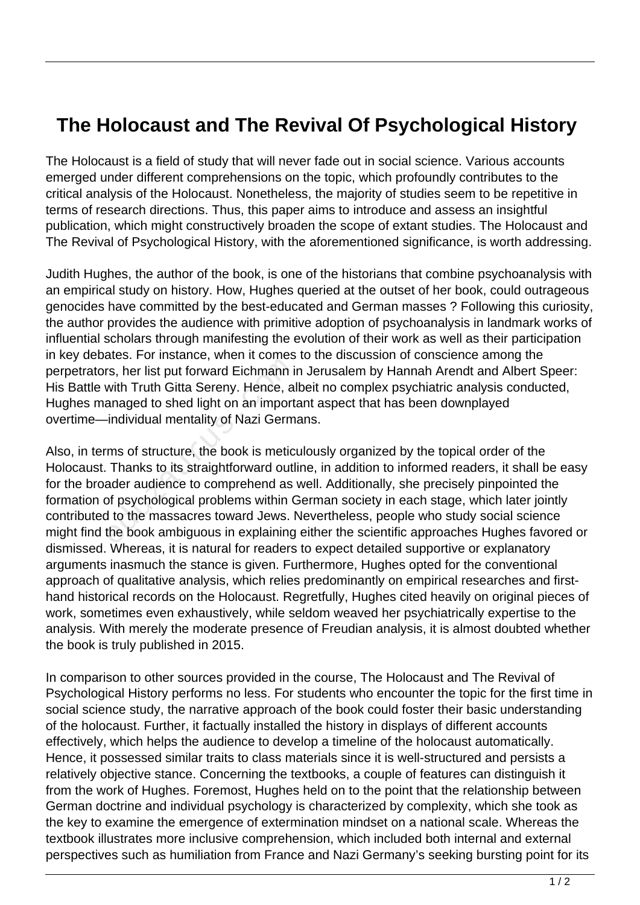## **The Holocaust and The Revival Of Psychological History**

The Holocaust is a field of study that will never fade out in social science. Various accounts emerged under different comprehensions on the topic, which profoundly contributes to the critical analysis of the Holocaust. Nonetheless, the majority of studies seem to be repetitive in terms of research directions. Thus, this paper aims to introduce and assess an insightful publication, which might constructively broaden the scope of extant studies. The Holocaust and The Revival of Psychological History, with the aforementioned significance, is worth addressing.

Judith Hughes, the author of the book, is one of the historians that combine psychoanalysis with an empirical study on history. How, Hughes queried at the outset of her book, could outrageous genocides have committed by the best-educated and German masses ? Following this curiosity, the author provides the audience with primitive adoption of psychoanalysis in landmark works of influential scholars through manifesting the evolution of their work as well as their participation in key debates. For instance, when it comes to the discussion of conscience among the perpetrators, her list put forward Eichmann in Jerusalem by Hannah Arendt and Albert Speer: His Battle with Truth Gitta Sereny. Hence, albeit no complex psychiatric analysis conducted, Hughes managed to shed light on an important aspect that has been downplayed overtime—individual mentality of Nazi Germans.

Also, in terms of structure, the book is meticulously organized by the topical order of the Holocaust. Thanks to its straightforward outline, in addition to informed readers, it shall be easy for the broader audience to comprehend as well. Additionally, she precisely pinpointed the formation of psychological problems within German society in each stage, which later jointly contributed to the massacres toward Jews. Nevertheless, people who study social science might find the book ambiguous in explaining either the scientific approaches Hughes favored or dismissed. Whereas, it is natural for readers to expect detailed supportive or explanatory arguments inasmuch the stance is given. Furthermore, Hughes opted for the conventional approach of qualitative analysis, which relies predominantly on empirical researches and firsthand historical records on the Holocaust. Regretfully, Hughes cited heavily on original pieces of work, sometimes even exhaustively, while seldom weaved her psychiatrically expertise to the analysis. With merely the moderate presence of Freudian analysis, it is almost doubted whether the book is truly published in 2015. rs, her list put forward Eichmann is<br>with Truth Gitta Sereny. Hence, al<br>anaged to shed light on an import-<br>individual mentality of Nazi Germ<br>ms of structure, the book is metic<br>Thanks to its straightforward outl<br>ader audien

In comparison to other sources provided in the course, The Holocaust and The Revival of Psychological History performs no less. For students who encounter the topic for the first time in social science study, the narrative approach of the book could foster their basic understanding of the holocaust. Further, it factually installed the history in displays of different accounts effectively, which helps the audience to develop a timeline of the holocaust automatically. Hence, it possessed similar traits to class materials since it is well-structured and persists a relatively objective stance. Concerning the textbooks, a couple of features can distinguish it from the work of Hughes. Foremost, Hughes held on to the point that the relationship between German doctrine and individual psychology is characterized by complexity, which she took as the key to examine the emergence of extermination mindset on a national scale. Whereas the textbook illustrates more inclusive comprehension, which included both internal and external perspectives such as humiliation from France and Nazi Germany's seeking bursting point for its